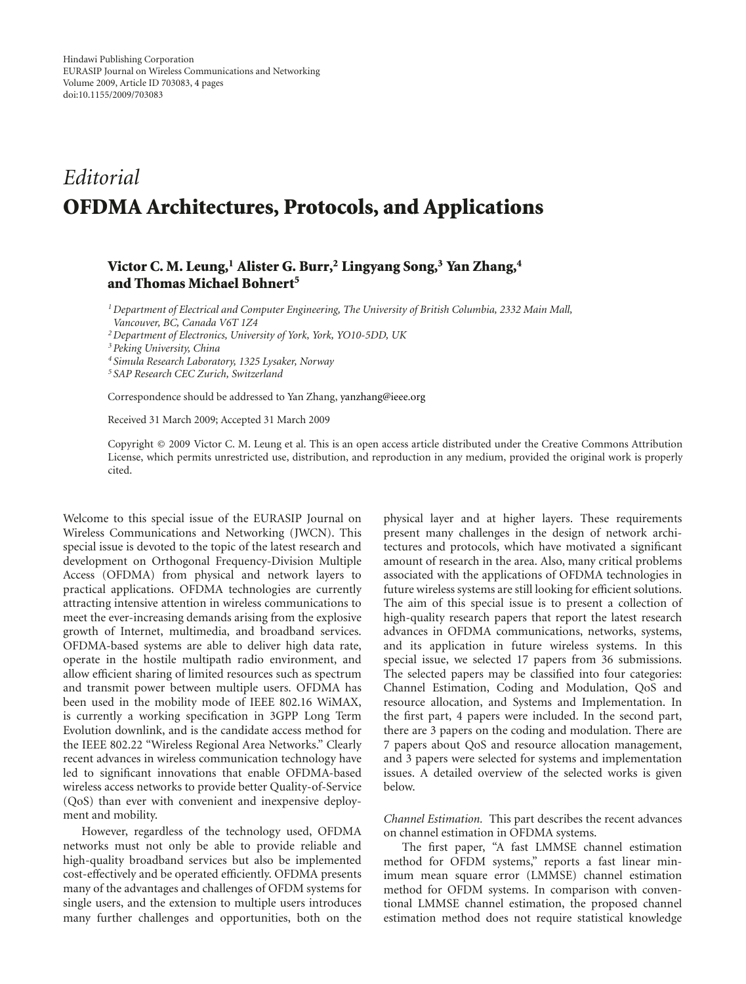## *Editorial* **OFDMA Architectures, Protocols, and Applications**

## **Victor C. M. Leung,1 Alister G. Burr,2 Lingyang Song,3 Yan Zhang,4 and Thomas Michael Bohnert5**

*1Department of Electrical and Computer Engineering, The University of British Columbia, 2332 Main Mall, Vancouver, BC, Canada V6T 1Z4*

*2Department of Electronics, University of York, York, YO10-5DD, UK*

*3Peking University, China*

*<sup>4</sup> Simula Research Laboratory, 1325 Lysaker, Norway*

*<sup>5</sup> SAP Research CEC Zurich, Switzerland*

Correspondence should be addressed to Yan Zhang, yanzhang@ieee.org

Received 31 March 2009; Accepted 31 March 2009

Copyright © 2009 Victor C. M. Leung et al. This is an open access article distributed under the Creative Commons Attribution License, which permits unrestricted use, distribution, and reproduction in any medium, provided the original work is properly cited.

Welcome to this special issue of the EURASIP Journal on Wireless Communications and Networking (JWCN). This special issue is devoted to the topic of the latest research and development on Orthogonal Frequency-Division Multiple Access (OFDMA) from physical and network layers to practical applications. OFDMA technologies are currently attracting intensive attention in wireless communications to meet the ever-increasing demands arising from the explosive growth of Internet, multimedia, and broadband services. OFDMA-based systems are able to deliver high data rate, operate in the hostile multipath radio environment, and allow efficient sharing of limited resources such as spectrum and transmit power between multiple users. OFDMA has been used in the mobility mode of IEEE 802.16 WiMAX, is currently a working specification in 3GPP Long Term Evolution downlink, and is the candidate access method for the IEEE 802.22 "Wireless Regional Area Networks." Clearly recent advances in wireless communication technology have led to significant innovations that enable OFDMA-based wireless access networks to provide better Quality-of-Service (QoS) than ever with convenient and inexpensive deployment and mobility.

However, regardless of the technology used, OFDMA networks must not only be able to provide reliable and high-quality broadband services but also be implemented cost-effectively and be operated efficiently. OFDMA presents many of the advantages and challenges of OFDM systems for single users, and the extension to multiple users introduces many further challenges and opportunities, both on the physical layer and at higher layers. These requirements present many challenges in the design of network architectures and protocols, which have motivated a significant amount of research in the area. Also, many critical problems associated with the applications of OFDMA technologies in future wireless systems are still looking for efficient solutions. The aim of this special issue is to present a collection of high-quality research papers that report the latest research advances in OFDMA communications, networks, systems, and its application in future wireless systems. In this special issue, we selected 17 papers from 36 submissions. The selected papers may be classified into four categories: Channel Estimation, Coding and Modulation, QoS and resource allocation, and Systems and Implementation. In the first part, 4 papers were included. In the second part, there are 3 papers on the coding and modulation. There are 7 papers about QoS and resource allocation management, and 3 papers were selected for systems and implementation issues. A detailed overview of the selected works is given below.

*Channel Estimation.* This part describes the recent advances on channel estimation in OFDMA systems.

The first paper, "A fast LMMSE channel estimation method for OFDM systems," reports a fast linear minimum mean square error (LMMSE) channel estimation method for OFDM systems. In comparison with conventional LMMSE channel estimation, the proposed channel estimation method does not require statistical knowledge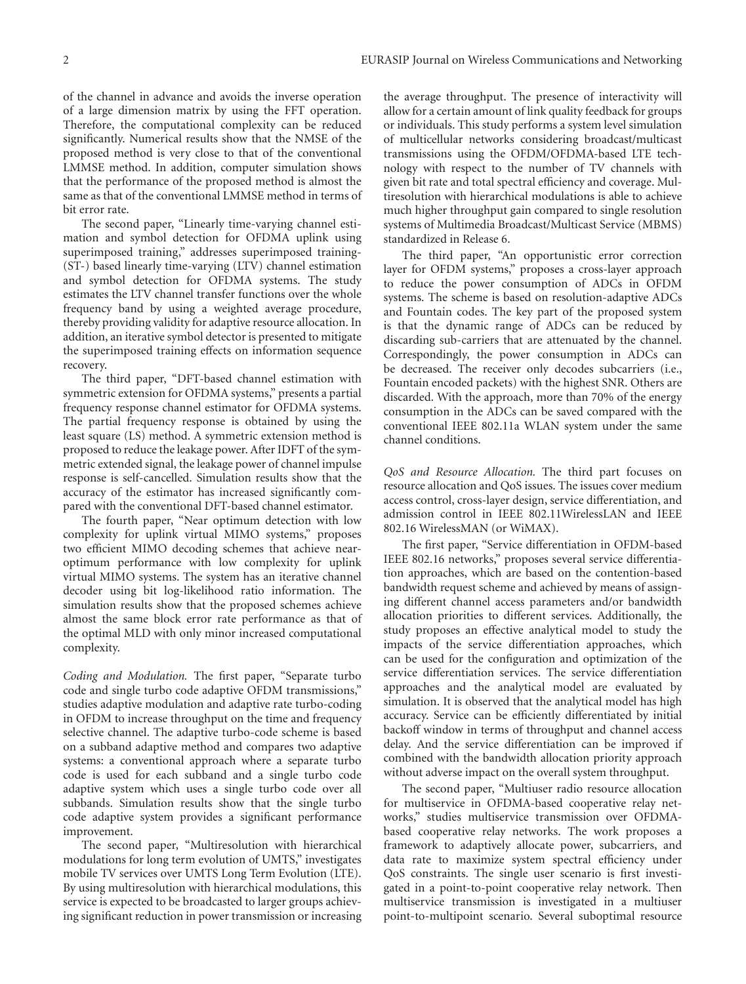of the channel in advance and avoids the inverse operation of a large dimension matrix by using the FFT operation. Therefore, the computational complexity can be reduced significantly. Numerical results show that the NMSE of the proposed method is very close to that of the conventional LMMSE method. In addition, computer simulation shows that the performance of the proposed method is almost the same as that of the conventional LMMSE method in terms of bit error rate.

The second paper, "Linearly time-varying channel estimation and symbol detection for OFDMA uplink using superimposed training," addresses superimposed training- (ST-) based linearly time-varying (LTV) channel estimation and symbol detection for OFDMA systems. The study estimates the LTV channel transfer functions over the whole frequency band by using a weighted average procedure, thereby providing validity for adaptive resource allocation. In addition, an iterative symbol detector is presented to mitigate the superimposed training effects on information sequence recovery.

The third paper, "DFT-based channel estimation with symmetric extension for OFDMA systems," presents a partial frequency response channel estimator for OFDMA systems. The partial frequency response is obtained by using the least square (LS) method. A symmetric extension method is proposed to reduce the leakage power. After IDFT of the symmetric extended signal, the leakage power of channel impulse response is self-cancelled. Simulation results show that the accuracy of the estimator has increased significantly compared with the conventional DFT-based channel estimator.

The fourth paper, "Near optimum detection with low complexity for uplink virtual MIMO systems," proposes two efficient MIMO decoding schemes that achieve nearoptimum performance with low complexity for uplink virtual MIMO systems. The system has an iterative channel decoder using bit log-likelihood ratio information. The simulation results show that the proposed schemes achieve almost the same block error rate performance as that of the optimal MLD with only minor increased computational complexity.

*Coding and Modulation.* The first paper, "Separate turbo code and single turbo code adaptive OFDM transmissions," studies adaptive modulation and adaptive rate turbo-coding in OFDM to increase throughput on the time and frequency selective channel. The adaptive turbo-code scheme is based on a subband adaptive method and compares two adaptive systems: a conventional approach where a separate turbo code is used for each subband and a single turbo code adaptive system which uses a single turbo code over all subbands. Simulation results show that the single turbo code adaptive system provides a significant performance improvement.

The second paper, "Multiresolution with hierarchical modulations for long term evolution of UMTS," investigates mobile TV services over UMTS Long Term Evolution (LTE). By using multiresolution with hierarchical modulations, this service is expected to be broadcasted to larger groups achieving significant reduction in power transmission or increasing

the average throughput. The presence of interactivity will allow for a certain amount of link quality feedback for groups or individuals. This study performs a system level simulation of multicellular networks considering broadcast/multicast transmissions using the OFDM/OFDMA-based LTE technology with respect to the number of TV channels with given bit rate and total spectral efficiency and coverage. Multiresolution with hierarchical modulations is able to achieve much higher throughput gain compared to single resolution systems of Multimedia Broadcast/Multicast Service (MBMS) standardized in Release 6.

The third paper, "An opportunistic error correction layer for OFDM systems," proposes a cross-layer approach to reduce the power consumption of ADCs in OFDM systems. The scheme is based on resolution-adaptive ADCs and Fountain codes. The key part of the proposed system is that the dynamic range of ADCs can be reduced by discarding sub-carriers that are attenuated by the channel. Correspondingly, the power consumption in ADCs can be decreased. The receiver only decodes subcarriers (i.e., Fountain encoded packets) with the highest SNR. Others are discarded. With the approach, more than 70% of the energy consumption in the ADCs can be saved compared with the conventional IEEE 802.11a WLAN system under the same channel conditions.

*QoS and Resource Allocation.* The third part focuses on resource allocation and QoS issues. The issues cover medium access control, cross-layer design, service differentiation, and admission control in IEEE 802.11WirelessLAN and IEEE 802.16 WirelessMAN (or WiMAX).

The first paper, "Service differentiation in OFDM-based IEEE 802.16 networks," proposes several service differentiation approaches, which are based on the contention-based bandwidth request scheme and achieved by means of assigning different channel access parameters and/or bandwidth allocation priorities to different services. Additionally, the study proposes an effective analytical model to study the impacts of the service differentiation approaches, which can be used for the configuration and optimization of the service differentiation services. The service differentiation approaches and the analytical model are evaluated by simulation. It is observed that the analytical model has high accuracy. Service can be efficiently differentiated by initial backoff window in terms of throughput and channel access delay. And the service differentiation can be improved if combined with the bandwidth allocation priority approach without adverse impact on the overall system throughput.

The second paper, "Multiuser radio resource allocation for multiservice in OFDMA-based cooperative relay networks," studies multiservice transmission over OFDMAbased cooperative relay networks. The work proposes a framework to adaptively allocate power, subcarriers, and data rate to maximize system spectral efficiency under QoS constraints. The single user scenario is first investigated in a point-to-point cooperative relay network. Then multiservice transmission is investigated in a multiuser point-to-multipoint scenario. Several suboptimal resource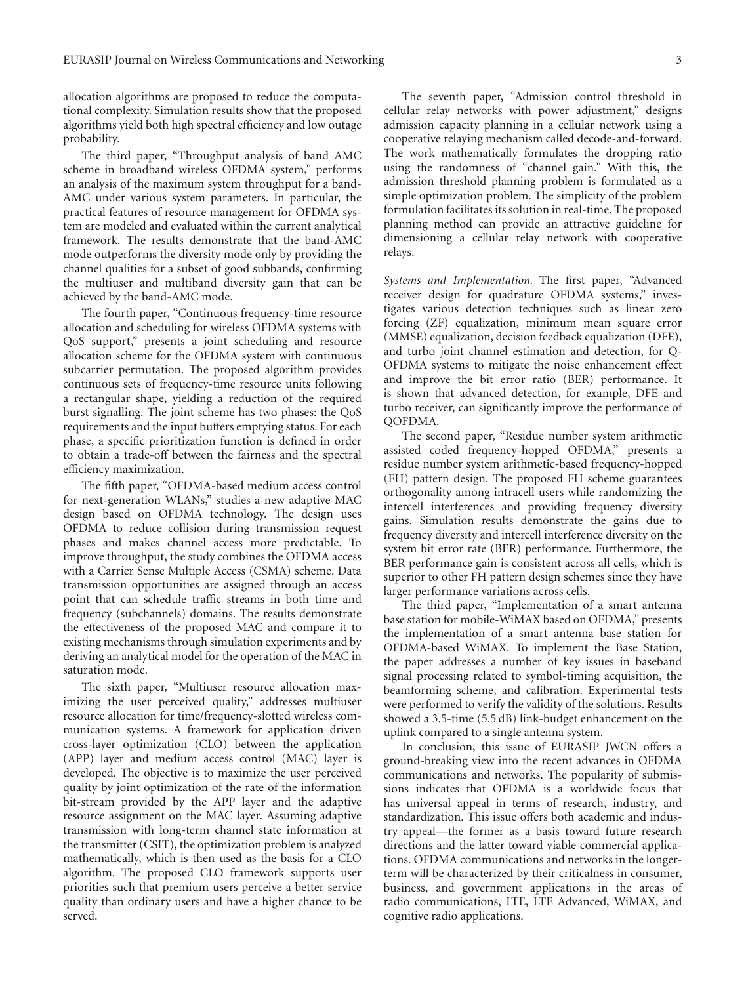allocation algorithms are proposed to reduce the computational complexity. Simulation results show that the proposed algorithms yield both high spectral efficiency and low outage probability.

The third paper, "Throughput analysis of band AMC scheme in broadband wireless OFDMA system," performs an analysis of the maximum system throughput for a band-AMC under various system parameters. In particular, the practical features of resource management for OFDMA system are modeled and evaluated within the current analytical framework. The results demonstrate that the band-AMC mode outperforms the diversity mode only by providing the channel qualities for a subset of good subbands, confirming the multiuser and multiband diversity gain that can be achieved by the band-AMC mode.

The fourth paper, "Continuous frequency-time resource allocation and scheduling for wireless OFDMA systems with QoS support," presents a joint scheduling and resource allocation scheme for the OFDMA system with continuous subcarrier permutation. The proposed algorithm provides continuous sets of frequency-time resource units following a rectangular shape, yielding a reduction of the required burst signalling. The joint scheme has two phases: the QoS requirements and the input buffers emptying status. For each phase, a specific prioritization function is defined in order to obtain a trade-off between the fairness and the spectral efficiency maximization.

The fifth paper, "OFDMA-based medium access control for next-generation WLANs," studies a new adaptive MAC design based on OFDMA technology. The design uses OFDMA to reduce collision during transmission request phases and makes channel access more predictable. To improve throughput, the study combines the OFDMA access with a Carrier Sense Multiple Access (CSMA) scheme. Data transmission opportunities are assigned through an access point that can schedule traffic streams in both time and frequency (subchannels) domains. The results demonstrate the effectiveness of the proposed MAC and compare it to existing mechanisms through simulation experiments and by deriving an analytical model for the operation of the MAC in saturation mode.

The sixth paper, "Multiuser resource allocation maximizing the user perceived quality," addresses multiuser resource allocation for time/frequency-slotted wireless communication systems. A framework for application driven cross-layer optimization (CLO) between the application (APP) layer and medium access control (MAC) layer is developed. The objective is to maximize the user perceived quality by joint optimization of the rate of the information bit-stream provided by the APP layer and the adaptive resource assignment on the MAC layer. Assuming adaptive transmission with long-term channel state information at the transmitter (CSIT), the optimization problem is analyzed mathematically, which is then used as the basis for a CLO algorithm. The proposed CLO framework supports user priorities such that premium users perceive a better service quality than ordinary users and have a higher chance to be served.

The seventh paper, "Admission control threshold in cellular relay networks with power adjustment," designs admission capacity planning in a cellular network using a cooperative relaying mechanism called decode-and-forward. The work mathematically formulates the dropping ratio using the randomness of "channel gain." With this, the admission threshold planning problem is formulated as a simple optimization problem. The simplicity of the problem formulation facilitates its solution in real-time. The proposed planning method can provide an attractive guideline for dimensioning a cellular relay network with cooperative relays.

*Systems and Implementation.* The first paper, "Advanced receiver design for quadrature OFDMA systems," investigates various detection techniques such as linear zero forcing (ZF) equalization, minimum mean square error (MMSE) equalization, decision feedback equalization (DFE), and turbo joint channel estimation and detection, for Q-OFDMA systems to mitigate the noise enhancement effect and improve the bit error ratio (BER) performance. It is shown that advanced detection, for example, DFE and turbo receiver, can significantly improve the performance of QOFDMA.

The second paper, "Residue number system arithmetic assisted coded frequency-hopped OFDMA," presents a residue number system arithmetic-based frequency-hopped (FH) pattern design. The proposed FH scheme guarantees orthogonality among intracell users while randomizing the intercell interferences and providing frequency diversity gains. Simulation results demonstrate the gains due to frequency diversity and intercell interference diversity on the system bit error rate (BER) performance. Furthermore, the BER performance gain is consistent across all cells, which is superior to other FH pattern design schemes since they have larger performance variations across cells.

The third paper, "Implementation of a smart antenna base station for mobile-WiMAX based on OFDMA," presents the implementation of a smart antenna base station for OFDMA-based WiMAX. To implement the Base Station, the paper addresses a number of key issues in baseband signal processing related to symbol-timing acquisition, the beamforming scheme, and calibration. Experimental tests were performed to verify the validity of the solutions. Results showed a 3.5-time (5.5 dB) link-budget enhancement on the uplink compared to a single antenna system.

In conclusion, this issue of EURASIP JWCN offers a ground-breaking view into the recent advances in OFDMA communications and networks. The popularity of submissions indicates that OFDMA is a worldwide focus that has universal appeal in terms of research, industry, and standardization. This issue offers both academic and industry appeal—the former as a basis toward future research directions and the latter toward viable commercial applications. OFDMA communications and networks in the longerterm will be characterized by their criticalness in consumer, business, and government applications in the areas of radio communications, LTE, LTE Advanced, WiMAX, and cognitive radio applications.